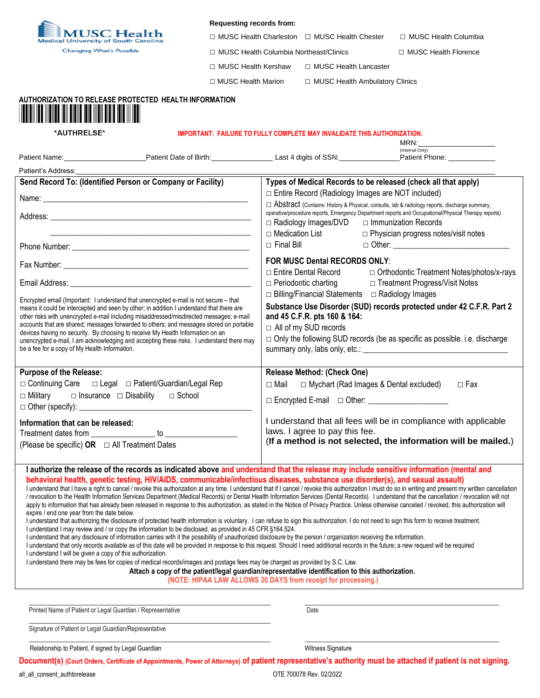

## **Requesting records from:**

□ MUSC Health Charleston □ MUSC Health Chester □ MUSC Health Columbia

□ MUSC Health Columbia Northeast/Clinics □ MUSC Health Florence

MRN:

□ MUSC Health Kershaw □ MUSC Health Lancaster

□ MUSC Health Marion □ MUSC Health Ambulatory Clinics

|  |  |  |  | --------<br>_______ |
|--|--|--|--|---------------------|
|  |  |  |  |                     |
|  |  |  |  |                     |
|  |  |  |  |                     |

## **AUTHORIZATION TO RELEASE PROTECTED HEALTH INFORMATION**

\*AUTHRELSE\*

## **IMPORTANT: FAILURE TO FULLY COMPLETE MAY INVALIDATE THIS AUTHORIZATION.**

|                                                                                                                                                                                                                                                                                                                                                                                                                                                                                                                                                                                                                                                                                                                                                                                                                                                                                                                                                                                                                                                                                                                                                                                                                                                                                                                                                                                                                                                                                                                                                                                                                                                                                                                                                                                                                                                                                                                                                                                      |                                                                                                                                                                                                                                                                                |                                                                                                                                                                                                                                                                            | (Internal Only)<br>Patient Name: Patient Date of Birth: Late of Birth: Late 1 digits of SSN: Patient Phone: Patient Phone: |  |  |  |  |
|--------------------------------------------------------------------------------------------------------------------------------------------------------------------------------------------------------------------------------------------------------------------------------------------------------------------------------------------------------------------------------------------------------------------------------------------------------------------------------------------------------------------------------------------------------------------------------------------------------------------------------------------------------------------------------------------------------------------------------------------------------------------------------------------------------------------------------------------------------------------------------------------------------------------------------------------------------------------------------------------------------------------------------------------------------------------------------------------------------------------------------------------------------------------------------------------------------------------------------------------------------------------------------------------------------------------------------------------------------------------------------------------------------------------------------------------------------------------------------------------------------------------------------------------------------------------------------------------------------------------------------------------------------------------------------------------------------------------------------------------------------------------------------------------------------------------------------------------------------------------------------------------------------------------------------------------------------------------------------------|--------------------------------------------------------------------------------------------------------------------------------------------------------------------------------------------------------------------------------------------------------------------------------|----------------------------------------------------------------------------------------------------------------------------------------------------------------------------------------------------------------------------------------------------------------------------|----------------------------------------------------------------------------------------------------------------------------|--|--|--|--|
|                                                                                                                                                                                                                                                                                                                                                                                                                                                                                                                                                                                                                                                                                                                                                                                                                                                                                                                                                                                                                                                                                                                                                                                                                                                                                                                                                                                                                                                                                                                                                                                                                                                                                                                                                                                                                                                                                                                                                                                      |                                                                                                                                                                                                                                                                                |                                                                                                                                                                                                                                                                            |                                                                                                                            |  |  |  |  |
| Send Record To: (Identified Person or Company or Facility)                                                                                                                                                                                                                                                                                                                                                                                                                                                                                                                                                                                                                                                                                                                                                                                                                                                                                                                                                                                                                                                                                                                                                                                                                                                                                                                                                                                                                                                                                                                                                                                                                                                                                                                                                                                                                                                                                                                           |                                                                                                                                                                                                                                                                                | Types of Medical Records to be released (check all that apply)                                                                                                                                                                                                             |                                                                                                                            |  |  |  |  |
|                                                                                                                                                                                                                                                                                                                                                                                                                                                                                                                                                                                                                                                                                                                                                                                                                                                                                                                                                                                                                                                                                                                                                                                                                                                                                                                                                                                                                                                                                                                                                                                                                                                                                                                                                                                                                                                                                                                                                                                      |                                                                                                                                                                                                                                                                                | □ Entire Record (Radiology Images are NOT included)                                                                                                                                                                                                                        |                                                                                                                            |  |  |  |  |
|                                                                                                                                                                                                                                                                                                                                                                                                                                                                                                                                                                                                                                                                                                                                                                                                                                                                                                                                                                                                                                                                                                                                                                                                                                                                                                                                                                                                                                                                                                                                                                                                                                                                                                                                                                                                                                                                                                                                                                                      |                                                                                                                                                                                                                                                                                | $\Box$ Abstract (Contains: History & Physical, consults, lab & radiology reports, discharge summary,<br>operative/procedure reports, Emergency Department reports and Occupational/Physical Therapy reports)<br>□ Radiology Images/DVD □ Immunization Records              |                                                                                                                            |  |  |  |  |
|                                                                                                                                                                                                                                                                                                                                                                                                                                                                                                                                                                                                                                                                                                                                                                                                                                                                                                                                                                                                                                                                                                                                                                                                                                                                                                                                                                                                                                                                                                                                                                                                                                                                                                                                                                                                                                                                                                                                                                                      |                                                                                                                                                                                                                                                                                | $\Box$ Medication List<br>$\Box$ Final Bill                                                                                                                                                                                                                                | $\Box$ Physician progress notes/visit notes                                                                                |  |  |  |  |
|                                                                                                                                                                                                                                                                                                                                                                                                                                                                                                                                                                                                                                                                                                                                                                                                                                                                                                                                                                                                                                                                                                                                                                                                                                                                                                                                                                                                                                                                                                                                                                                                                                                                                                                                                                                                                                                                                                                                                                                      |                                                                                                                                                                                                                                                                                | <b>FOR MUSC Dental RECORDS ONLY:</b><br>□ Entire Dental Record<br>□ Orthodontic Treatment Notes/photos/x-rays                                                                                                                                                              |                                                                                                                            |  |  |  |  |
|                                                                                                                                                                                                                                                                                                                                                                                                                                                                                                                                                                                                                                                                                                                                                                                                                                                                                                                                                                                                                                                                                                                                                                                                                                                                                                                                                                                                                                                                                                                                                                                                                                                                                                                                                                                                                                                                                                                                                                                      |                                                                                                                                                                                                                                                                                | $\Box$ Periodontic charting                                                                                                                                                                                                                                                | □ Treatment Progress/Visit Notes                                                                                           |  |  |  |  |
| Encrypted email (Important: I understand that unencrypted e-mail is not secure – that<br>means it could be intercepted and seen by other; in addition I understand that there are<br>devices having no security. By choosing to receive My Health Information on an<br>be a fee for a copy of My Health Information.                                                                                                                                                                                                                                                                                                                                                                                                                                                                                                                                                                                                                                                                                                                                                                                                                                                                                                                                                                                                                                                                                                                                                                                                                                                                                                                                                                                                                                                                                                                                                                                                                                                                 | other risks with unencrypted e-mail including misaddressed/misdirected messages; e-mail<br>accounts that are shared; messages forwarded to others; and messages stored on portable<br>unencrypted e-mail, I am acknowledging and accepting these risks. I understand there may | □ Billing/Financial Statements □ Radiology Images<br>Substance Use Disorder (SUD) records protected under 42 C.F.R. Part 2<br>and 45 C.F.R. pts 160 & 164:<br>□ All of my SUD records<br>$\Box$ Only the following SUD records (be as specific as possible. i.e. discharge |                                                                                                                            |  |  |  |  |
| <b>Purpose of the Release:</b>                                                                                                                                                                                                                                                                                                                                                                                                                                                                                                                                                                                                                                                                                                                                                                                                                                                                                                                                                                                                                                                                                                                                                                                                                                                                                                                                                                                                                                                                                                                                                                                                                                                                                                                                                                                                                                                                                                                                                       |                                                                                                                                                                                                                                                                                | <b>Release Method: (Check One)</b>                                                                                                                                                                                                                                         |                                                                                                                            |  |  |  |  |
| □ Continuing Care □ Legal □ Patient/Guardian/Legal Rep                                                                                                                                                                                                                                                                                                                                                                                                                                                                                                                                                                                                                                                                                                                                                                                                                                                                                                                                                                                                                                                                                                                                                                                                                                                                                                                                                                                                                                                                                                                                                                                                                                                                                                                                                                                                                                                                                                                               |                                                                                                                                                                                                                                                                                | □ Mychart (Rad Images & Dental excluded)<br>$\Box$ Mail<br>$\Box$ Fax                                                                                                                                                                                                      |                                                                                                                            |  |  |  |  |
| $\Box$ Military                                                                                                                                                                                                                                                                                                                                                                                                                                                                                                                                                                                                                                                                                                                                                                                                                                                                                                                                                                                                                                                                                                                                                                                                                                                                                                                                                                                                                                                                                                                                                                                                                                                                                                                                                                                                                                                                                                                                                                      | $\Box$ Insurance $\Box$ Disability $\Box$ School                                                                                                                                                                                                                               | □ Encrypted E-mail □ Other: ___________________                                                                                                                                                                                                                            |                                                                                                                            |  |  |  |  |
| Information that can be released:<br>(Please be specific) OR $\Box$ All Treatment Dates                                                                                                                                                                                                                                                                                                                                                                                                                                                                                                                                                                                                                                                                                                                                                                                                                                                                                                                                                                                                                                                                                                                                                                                                                                                                                                                                                                                                                                                                                                                                                                                                                                                                                                                                                                                                                                                                                              |                                                                                                                                                                                                                                                                                | I understand that all fees will be in compliance with applicable<br>laws. I agree to pay this fee.<br>(If a method is not selected, the information will be mailed.)                                                                                                       |                                                                                                                            |  |  |  |  |
| I authorize the release of the records as indicated above and understand that the release may include sensitive information (mental and<br>behavioral health, genetic testing, HIV/AIDS, communicable/infectious diseases, substance use disorder(s), and sexual assault)<br>I understand that I have a right to cancel / revoke this authorization at any time. I understand that if I cancel / revoke this authorization I must do so in writing and present my written cancellation<br>/ revocation to the Health Information Services Department (Medical Records) or Dental Health Information Services (Dental Records). I understand that the cancellation / revocation will not<br>apply to information that has already been released in response to this authorization, as stated in the Notice of Privacy Practice. Unless otherwise canceled / revoked, this authorization will<br>expire / end one year from the date below.<br>I understand that authorizing the disclosure of protected health information is voluntary. I can refuse to sign this authorization. I do not need to sign this form to receive treatment.<br>I understand I may review and / or copy the information to be disclosed, as provided in 45 CFR §164.524.<br>I understand that any disclosure of information carries with it the possibility of unauthorized disclosure by the person / organization receiving the information.<br>I understand that only records available as of this date will be provided in response to this request. Should I need additional records in the future; a new request will be required<br>I understand I will be given a copy of this authorization.<br>I understand there may be fees for copies of medical records/images and postage fees may be charged as provided by S.C. Law.<br>Attach a copy of the patient/legal guardian/representative identification to this authorization.<br>(NOTE: HIPAA LAW ALLOWS 30 DAYS from receipt for processing.) |                                                                                                                                                                                                                                                                                |                                                                                                                                                                                                                                                                            |                                                                                                                            |  |  |  |  |
|                                                                                                                                                                                                                                                                                                                                                                                                                                                                                                                                                                                                                                                                                                                                                                                                                                                                                                                                                                                                                                                                                                                                                                                                                                                                                                                                                                                                                                                                                                                                                                                                                                                                                                                                                                                                                                                                                                                                                                                      |                                                                                                                                                                                                                                                                                |                                                                                                                                                                                                                                                                            |                                                                                                                            |  |  |  |  |
| Printed Name of Patient or Legal Guardian / Representative                                                                                                                                                                                                                                                                                                                                                                                                                                                                                                                                                                                                                                                                                                                                                                                                                                                                                                                                                                                                                                                                                                                                                                                                                                                                                                                                                                                                                                                                                                                                                                                                                                                                                                                                                                                                                                                                                                                           |                                                                                                                                                                                                                                                                                | Date                                                                                                                                                                                                                                                                       |                                                                                                                            |  |  |  |  |
| Signature of Patient or Legal Guardian/Representative                                                                                                                                                                                                                                                                                                                                                                                                                                                                                                                                                                                                                                                                                                                                                                                                                                                                                                                                                                                                                                                                                                                                                                                                                                                                                                                                                                                                                                                                                                                                                                                                                                                                                                                                                                                                                                                                                                                                |                                                                                                                                                                                                                                                                                |                                                                                                                                                                                                                                                                            |                                                                                                                            |  |  |  |  |
| Relationship to Patient, if signed by Legal Guardian                                                                                                                                                                                                                                                                                                                                                                                                                                                                                                                                                                                                                                                                                                                                                                                                                                                                                                                                                                                                                                                                                                                                                                                                                                                                                                                                                                                                                                                                                                                                                                                                                                                                                                                                                                                                                                                                                                                                 |                                                                                                                                                                                                                                                                                | Witness Signature                                                                                                                                                                                                                                                          |                                                                                                                            |  |  |  |  |
| Document(s) (Court Orders, Certificate of Appointments, Power of Attorneys) of patient representative's authority must be attached if patient is not signing.                                                                                                                                                                                                                                                                                                                                                                                                                                                                                                                                                                                                                                                                                                                                                                                                                                                                                                                                                                                                                                                                                                                                                                                                                                                                                                                                                                                                                                                                                                                                                                                                                                                                                                                                                                                                                        |                                                                                                                                                                                                                                                                                |                                                                                                                                                                                                                                                                            |                                                                                                                            |  |  |  |  |

all\_all\_consent\_authtorelease OTE 700078 Rev. 02/2022